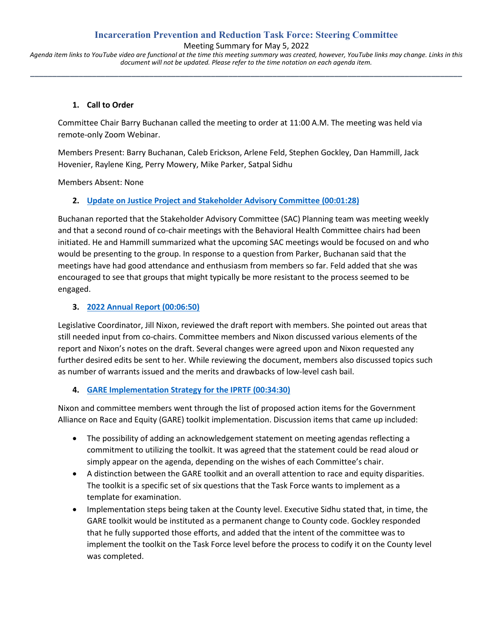## **Incarceration Prevention and Reduction Task Force: Steering Committee**

Meeting Summary for May 5, 2022

*Agenda item links to YouTube video are functional at the time this meeting summary was created, however, YouTube links may change. Links in this document will not be updated. Please refer to the time notation on each agenda item.* **\_\_\_\_\_\_\_\_\_\_\_\_\_\_\_\_\_\_\_\_\_\_\_\_\_\_\_\_\_\_\_\_\_\_\_\_\_\_\_\_\_\_\_\_\_\_\_\_\_\_\_\_\_\_\_\_\_\_\_\_\_\_\_\_\_\_\_\_\_\_\_\_\_\_\_\_\_\_\_\_\_\_\_\_\_\_\_\_\_\_\_\_\_\_\_\_\_\_**

#### **1. Call to Order**

Committee Chair Barry Buchanan called the meeting to order at 11:00 A.M. The meeting was held via remote-only Zoom Webinar.

Members Present: Barry Buchanan, Caleb Erickson, Arlene Feld, Stephen Gockley, Dan Hammill, Jack Hovenier, Raylene King, Perry Mowery, Mike Parker, Satpal Sidhu

Members Absent: None

#### **2. [Update on Justice Project and Stakeholder Advisory Committee](https://www.youtube.com/watch?v=589wdIVJAyM&t=88s) (00:01:28)**

Buchanan reported that the Stakeholder Advisory Committee (SAC) Planning team was meeting weekly and that a second round of co-chair meetings with the Behavioral Health Committee chairs had been initiated. He and Hammill summarized what the upcoming SAC meetings would be focused on and who would be presenting to the group. In response to a question from Parker, Buchanan said that the meetings have had good attendance and enthusiasm from members so far. Feld added that she was encouraged to see that groups that might typically be more resistant to the process seemed to be engaged.

#### **3. [2022 Annual Report](https://www.youtube.com/watch?v=589wdIVJAyM&t=410s) (00:06:50)**

Legislative Coordinator, Jill Nixon, reviewed the draft report with members. She pointed out areas that still needed input from co-chairs. Committee members and Nixon discussed various elements of the report and Nixon's notes on the draft. Several changes were agreed upon and Nixon requested any further desired edits be sent to her. While reviewing the document, members also discussed topics such as number of warrants issued and the merits and drawbacks of low-level cash bail.

## **4. [GARE Implementation Strategy for the IPRTF](https://www.youtube.com/watch?v=589wdIVJAyM&t=2070s) (00:34:30)**

Nixon and committee members went through the list of proposed action items for the Government Alliance on Race and Equity (GARE) toolkit implementation. Discussion items that came up included:

- The possibility of adding an acknowledgement statement on meeting agendas reflecting a commitment to utilizing the toolkit. It was agreed that the statement could be read aloud or simply appear on the agenda, depending on the wishes of each Committee's chair.
- A distinction between the GARE toolkit and an overall attention to race and equity disparities. The toolkit is a specific set of six questions that the Task Force wants to implement as a template for examination.
- Implementation steps being taken at the County level. Executive Sidhu stated that, in time, the GARE toolkit would be instituted as a permanent change to County code. Gockley responded that he fully supported those efforts, and added that the intent of the committee was to implement the toolkit on the Task Force level before the process to codify it on the County level was completed.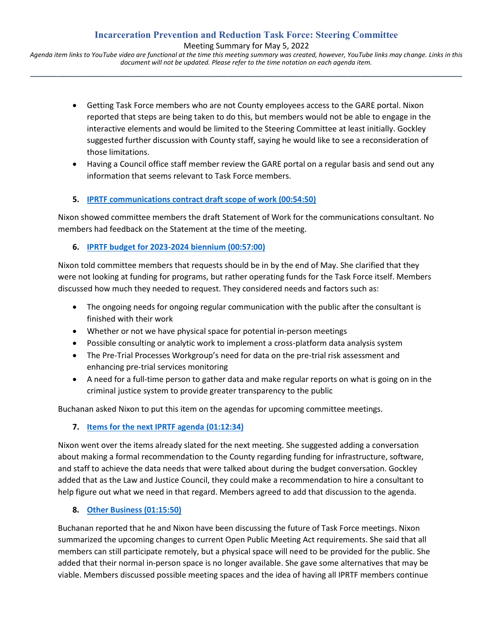Meeting Summary for May 5, 2022

*Agenda item links to YouTube video are functional at the time this meeting summary was created, however, YouTube links may change. Links in this document will not be updated. Please refer to the time notation on each agenda item.* **\_\_\_\_\_\_\_\_\_\_\_\_\_\_\_\_\_\_\_\_\_\_\_\_\_\_\_\_\_\_\_\_\_\_\_\_\_\_\_\_\_\_\_\_\_\_\_\_\_\_\_\_\_\_\_\_\_\_\_\_\_\_\_\_\_\_\_\_\_\_\_\_\_\_\_\_\_\_\_\_\_\_\_\_\_\_\_\_\_\_\_\_\_\_\_\_\_\_**

- Getting Task Force members who are not County employees access to the GARE portal. Nixon reported that steps are being taken to do this, but members would not be able to engage in the interactive elements and would be limited to the Steering Committee at least initially. Gockley suggested further discussion with County staff, saying he would like to see a reconsideration of those limitations.
- Having a Council office staff member review the GARE portal on a regular basis and send out any information that seems relevant to Task Force members.

# **5. [IPRTF communications contract draft scope of work](https://www.youtube.com/watch?v=589wdIVJAyM&t=3290s) (00:54:50)**

Nixon showed committee members the draft Statement of Work for the communications consultant. No members had feedback on the Statement at the time of the meeting.

## **6. [IPRTF budget for 2023-2024 biennium](https://www.youtube.com/watch?v=589wdIVJAyM&t=3420s) (00:57:00)**

Nixon told committee members that requests should be in by the end of May. She clarified that they were not looking at funding for programs, but rather operating funds for the Task Force itself. Members discussed how much they needed to request. They considered needs and factors such as:

- The ongoing needs for ongoing regular communication with the public after the consultant is finished with their work
- Whether or not we have physical space for potential in-person meetings
- Possible consulting or analytic work to implement a cross-platform data analysis system
- The Pre-Trial Processes Workgroup's need for data on the pre-trial risk assessment and enhancing pre-trial services monitoring
- A need for a full-time person to gather data and make regular reports on what is going on in the criminal justice system to provide greater transparency to the public

Buchanan asked Nixon to put this item on the agendas for upcoming committee meetings.

## **7. [Items for the next IPRTF agenda](https://www.youtube.com/watch?v=589wdIVJAyM&t=4354s) (01:12:34)**

Nixon went over the items already slated for the next meeting. She suggested adding a conversation about making a formal recommendation to the County regarding funding for infrastructure, software, and staff to achieve the data needs that were talked about during the budget conversation. Gockley added that as the Law and Justice Council, they could make a recommendation to hire a consultant to help figure out what we need in that regard. Members agreed to add that discussion to the agenda.

## **8. [Other Business](https://www.youtube.com/watch?v=589wdIVJAyM&t=4550s) (01:15:50)**

Buchanan reported that he and Nixon have been discussing the future of Task Force meetings. Nixon summarized the upcoming changes to current Open Public Meeting Act requirements. She said that all members can still participate remotely, but a physical space will need to be provided for the public. She added that their normal in-person space is no longer available. She gave some alternatives that may be viable. Members discussed possible meeting spaces and the idea of having all IPRTF members continue